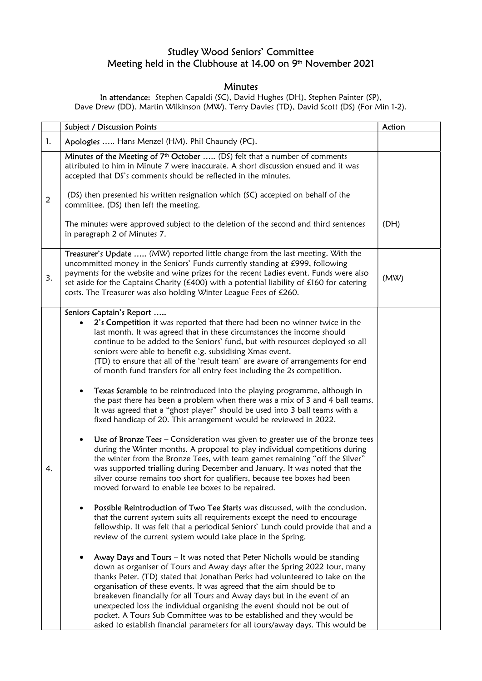## Studley Wood Seniors' Committee Meeting held in the Clubhouse at 14.00 on 9th November 2021

## **Minutes**

In attendance: Stephen Capaldi (SC), David Hughes (DH), Stephen Painter (SP), Dave Drew (DD), Martin Wilkinson (MW), Terry Davies (TD), David Scott (DS) (For Min 1-2).

|    | Subject / Discussion Points                                                                                                                                                                                                                                                                                                                                                                                                                                                                                                                                                                                                                                                                                                                                                                                                                                                                                                                                                                                                                                                                                                                                                                                                                                                                                                                                                                                                                                                                                                                                                                                                                                                                                                                                                                                                                                                                                                                                                                                                                                                     | Action |
|----|---------------------------------------------------------------------------------------------------------------------------------------------------------------------------------------------------------------------------------------------------------------------------------------------------------------------------------------------------------------------------------------------------------------------------------------------------------------------------------------------------------------------------------------------------------------------------------------------------------------------------------------------------------------------------------------------------------------------------------------------------------------------------------------------------------------------------------------------------------------------------------------------------------------------------------------------------------------------------------------------------------------------------------------------------------------------------------------------------------------------------------------------------------------------------------------------------------------------------------------------------------------------------------------------------------------------------------------------------------------------------------------------------------------------------------------------------------------------------------------------------------------------------------------------------------------------------------------------------------------------------------------------------------------------------------------------------------------------------------------------------------------------------------------------------------------------------------------------------------------------------------------------------------------------------------------------------------------------------------------------------------------------------------------------------------------------------------|--------|
| 1. | Apologies  Hans Menzel (HM). Phil Chaundy (PC).                                                                                                                                                                                                                                                                                                                                                                                                                                                                                                                                                                                                                                                                                                                                                                                                                                                                                                                                                                                                                                                                                                                                                                                                                                                                                                                                                                                                                                                                                                                                                                                                                                                                                                                                                                                                                                                                                                                                                                                                                                 |        |
|    | Minutes of the Meeting of 7 <sup>th</sup> October  (DS) felt that a number of comments<br>attributed to him in Minute 7 were inaccurate. A short discussion ensued and it was<br>accepted that DS's comments should be reflected in the minutes.                                                                                                                                                                                                                                                                                                                                                                                                                                                                                                                                                                                                                                                                                                                                                                                                                                                                                                                                                                                                                                                                                                                                                                                                                                                                                                                                                                                                                                                                                                                                                                                                                                                                                                                                                                                                                                |        |
| 2  | (DS) then presented his written resignation which (SC) accepted on behalf of the<br>committee. (DS) then left the meeting.                                                                                                                                                                                                                                                                                                                                                                                                                                                                                                                                                                                                                                                                                                                                                                                                                                                                                                                                                                                                                                                                                                                                                                                                                                                                                                                                                                                                                                                                                                                                                                                                                                                                                                                                                                                                                                                                                                                                                      |        |
|    | The minutes were approved subject to the deletion of the second and third sentences<br>in paragraph 2 of Minutes 7.                                                                                                                                                                                                                                                                                                                                                                                                                                                                                                                                                                                                                                                                                                                                                                                                                                                                                                                                                                                                                                                                                                                                                                                                                                                                                                                                                                                                                                                                                                                                                                                                                                                                                                                                                                                                                                                                                                                                                             | (DH)   |
| 3. | Treasurer's Update  (MW) reported little change from the last meeting. With the<br>uncommitted money in the Seniors' Funds currently standing at £999, following<br>payments for the website and wine prizes for the recent Ladies event. Funds were also<br>set aside for the Captains Charity (£400) with a potential liability of £160 for catering<br>costs. The Treasurer was also holding Winter League Fees of £260.                                                                                                                                                                                                                                                                                                                                                                                                                                                                                                                                                                                                                                                                                                                                                                                                                                                                                                                                                                                                                                                                                                                                                                                                                                                                                                                                                                                                                                                                                                                                                                                                                                                     | (MW)   |
| 4. | Seniors Captain's Report<br>2's Competition it was reported that there had been no winner twice in the<br>last month. It was agreed that in these circumstances the income should<br>continue to be added to the Seniors' fund, but with resources deployed so all<br>seniors were able to benefit e.g. subsidising Xmas event.<br>(TD) to ensure that all of the 'result team' are aware of arrangements for end<br>of month fund transfers for all entry fees including the 2s competition.<br>Texas Scramble to be reintroduced into the playing programme, although in<br>the past there has been a problem when there was a mix of 3 and 4 ball teams.<br>It was agreed that a "ghost player" should be used into 3 ball teams with a<br>fixed handicap of 20. This arrangement would be reviewed in 2022.<br>Use of Bronze Tees - Consideration was given to greater use of the bronze tees<br>during the Winter months. A proposal to play individual competitions during<br>the winter from the Bronze Tees, with team games remaining "off the Silver"<br>was supported trialling during December and January. It was noted that the<br>silver course remains too short for qualifiers, because tee boxes had been<br>moved forward to enable tee boxes to be repaired.<br>Possible Reintroduction of Two Tee Starts was discussed, with the conclusion,<br>that the current system suits all requirements except the need to encourage<br>fellowship. It was felt that a periodical Seniors' Lunch could provide that and a<br>review of the current system would take place in the Spring.<br>Away Days and Tours - It was noted that Peter Nicholls would be standing<br>down as organiser of Tours and Away days after the Spring 2022 tour, many<br>thanks Peter. (TD) stated that Jonathan Perks had volunteered to take on the<br>organisation of these events. It was agreed that the aim should be to<br>breakeven financially for all Tours and Away days but in the event of an<br>unexpected loss the individual organising the event should not be out of |        |
|    | pocket. A Tours Sub Committee was to be established and they would be<br>asked to establish financial parameters for all tours/away days. This would be                                                                                                                                                                                                                                                                                                                                                                                                                                                                                                                                                                                                                                                                                                                                                                                                                                                                                                                                                                                                                                                                                                                                                                                                                                                                                                                                                                                                                                                                                                                                                                                                                                                                                                                                                                                                                                                                                                                         |        |